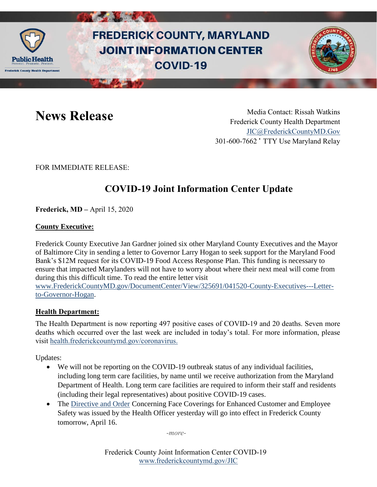

# **FREDERICK COUNTY, MARYLAND JOINT INFORMATION CENTER COVID-19**



News Release Media Contact: Rissah Watkins Frederick County Health Department [JIC@FrederickCountyMD.Gov](mailto:JIC@FrederickCountyMD.Gov) 301-600-7662 • TTY Use Maryland Relay

FOR IMMEDIATE RELEASE:

### **COVID-19 Joint Information Center Update**

**Frederick, MD –** April 15, 2020

#### **County Executive:**

Frederick County Executive Jan Gardner joined six other Maryland County Executives and the Mayor of Baltimore City in sending a letter to Governor Larry Hogan to seek support for the Maryland Food Bank's \$12M request for its COVID-19 Food Access Response Plan. This funding is necessary to ensure that impacted Marylanders will not have to worry about where their next meal will come from during this this difficult time. To read the entire letter visit [www.FrederickCountyMD.gov/DocumentCenter/View/325691/041520-County-Executives---Letter](http://www.frederickcountymd.gov/DocumentCenter/View/325691/041520-County-Executives---Letter-to-Governor-Hogan)[to-Governor-Hogan.](http://www.frederickcountymd.gov/DocumentCenter/View/325691/041520-County-Executives---Letter-to-Governor-Hogan)

**Health Department:**

The Health Department is now reporting 497 positive cases of COVID-19 and 20 deaths. Seven more deaths which occurred over the last week are included in today's total. For more information, please visit [health.frederickcountymd.gov/coronavirus.](https://health.frederickcountymd.gov/614/Novel-Coronavirus-COVID-19)

Updates:

- We will not be reporting on the COVID-19 outbreak status of any individual facilities, including long term care facilities, by name until we receive authorization from the Maryland Department of Health. Long term care facilities are required to inform their staff and residents (including their legal representatives) about positive COVID-19 cases.
- The [Directive and Order](https://health.frederickcountymd.gov/DocumentCenter/View/5851/Directive-and-Order-Concerning-Face-Coverings-04-16-20) Concerning Face Coverings for Enhanced Customer and Employee Safety was issued by the Health Officer yesterday will go into effect in Frederick County tomorrow, April 16.

*-more-*

Frederick County Joint Information Center COVID-19 [www.frederickcountymd.gov/JIC](https://frederickcountymd.gov/JIC)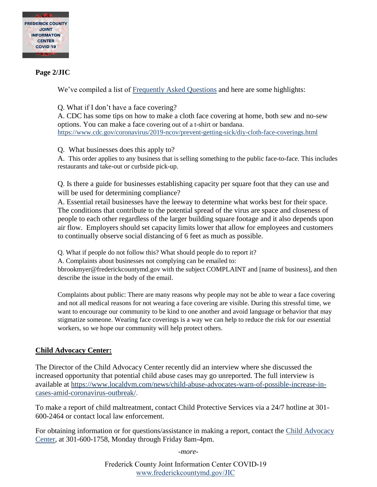

#### **Page 2/JIC**

We've compiled a list of [Frequently Asked Questions](https://health.frederickcountymd.gov/DocumentCenter/View/5859/41520-Face-Covering-Order-FAQs) and here are some highlights:

Q. What if I don't have a face covering?

A. CDC has some tips on how to make a cloth face covering at home, both sew and no-sew options. You can make a face covering out of a t-shirt or bandana. <https://www.cdc.gov/coronavirus/2019-ncov/prevent-getting-sick/diy-cloth-face-coverings.html>

Q. What businesses does this apply to?

A. This order applies to any business that is selling something to the public face-to-face. This includes restaurants and take-out or curbside pick-up.

Q. Is there a guide for businesses establishing capacity per square foot that they can use and will be used for determining compliance?

A. Essential retail businesses have the leeway to determine what works best for their space. The conditions that contribute to the potential spread of the virus are space and closeness of people to each other regardless of the larger building square footage and it also depends upon air flow. Employers should set capacity limits lower that allow for employees and customers to continually observe social distancing of 6 feet as much as possible.

Q. What if people do not follow this? What should people do to report it?

A. Complaints about businesses not complying can be emailed to:

bbrookmyer@frederickcountymd.gov with the subject COMPLAINT and [name of business], and then describe the issue in the body of the email.

Complaints about public: There are many reasons why people may not be able to wear a face covering and not all medical reasons for not wearing a face covering are visible. During this stressful time, we want to encourage our community to be kind to one another and avoid language or behavior that may stigmatize someone. Wearing face coverings is a way we can help to reduce the risk for our essential workers, so we hope our community will help protect others.

#### **Child Advocacy Center:**

The Director of the Child Advocacy Center recently did an interview where she discussed the increased opportunity that potential child abuse cases may go unreported. The full interview is available at [https://www.localdvm.com/news/child-abuse-advocates-warn-of-possible-increase-in](https://www.localdvm.com/news/child-abuse-advocates-warn-of-possible-increase-in-cases-amid-coronavirus-outbreak/)[cases-amid-coronavirus-outbreak/.](https://www.localdvm.com/news/child-abuse-advocates-warn-of-possible-increase-in-cases-amid-coronavirus-outbreak/)

To make a report of child maltreatment, contact Child Protective Services via a 24/7 hotline at 301- 600-2464 or contact local law enforcement.

For obtaining information or for questions/assistance in making a report, contact the [Child Advocacy](https://frederickcountymd.gov/481/Child-Advocacy-Center-CAC)  [Center,](https://frederickcountymd.gov/481/Child-Advocacy-Center-CAC) at 301-600-1758, Monday through Friday 8am-4pm.

*-more-*

Frederick County Joint Information Center COVID-19 [www.frederickcountymd.gov/JIC](https://frederickcountymd.gov/JIC)